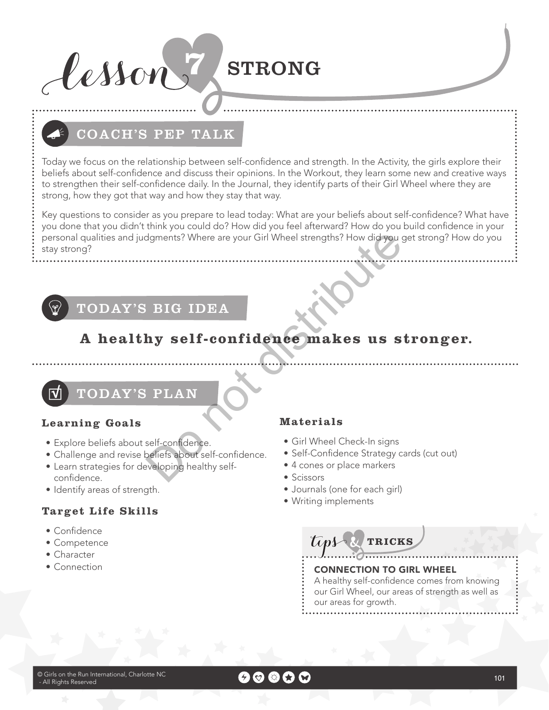

# COACH'S PEP TALK

Today we focus on the relationship between self-confdence and strength. In the Activity, the girls explore their beliefs about self-confdence and discuss their opinions. In the Workout, they learn some new and creative ways to strengthen their self-confdence daily. In the Journal, they identify parts of their Girl Wheel where they are strong, how they got that way and how they stay that way.

Key questions to consider as you prepare to lead today: What are your beliefs about self-confdence? What have you done that you didn't think you could do? How did you feel afterward? How do you build confidence in your personal qualities and judgments? Where are your Girl Wheel strengths? How did you get strong? How do you stay strong? Materials<br>
Salt Confidence makes us s<br>
DRIG IDEA<br>
TRIAN<br>
Materials<br>
Self-confidence makes us s<br>
Materials<br>
Self-confidence strategy c<br>
Self-Confidence Strategy c<br>
Self-Confidence Strategy c<br>
Self-Confidence Strategy c<br>
Sci

# TODAY'S BIG IDEA

# **A healthy self-confidence makes us stronger.**

TODAY'S PLAN

### **Learning Goals**

- Explore beliefs about self-confidence.
- Challenge and revise beliefs about self-confidence.
- Learn strategies for developing healthy self confidence.
- Identify areas of strength.

### **Target Life Skills**

- $\bullet$  Confidence
- Competence
- Character
- Connection

### **Materials**

- Girl Wheel Check-In signs
- Self-Confidence Strategy cards (cut out)
- 4 cones or place markers
- Scissors
- Journals (one for each girl)
- Writing implements

**Tink TRICKS**

### CONNECTION TO GIRL WHEEL

A healthy self-confidence comes from knowing our Girl Wheel, our areas of strength as well as our areas for growth.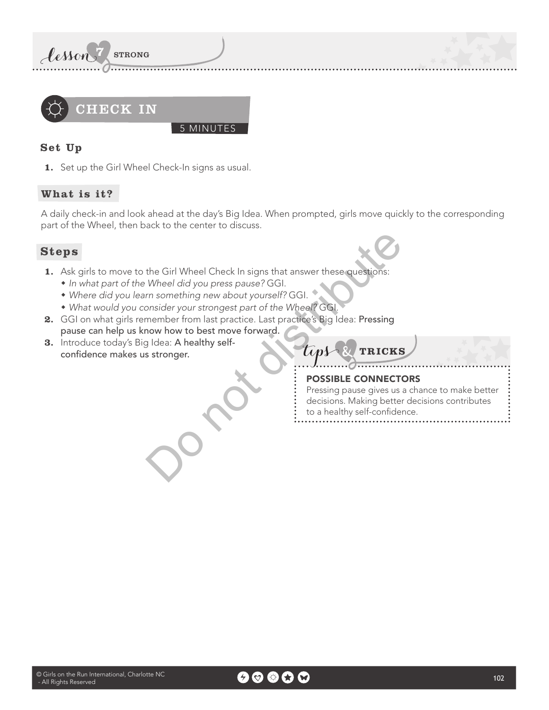

### **Set Up**

**1.** Set up the Girl Wheel Check-In signs as usual.

### **What is it?**

A daily check-in and look ahead at the day's Big Idea. When prompted, girls move quickly to the corresponding part of the Wheel, then back to the center to discuss.

### **Steps**

**1.** Ask girls to move to the Girl Wheel Check In signs that answer these questions:

5 MINUTES

- In what part of the Wheel did you press pause? GGI.
- Where did you learn something new about yourself? GGI.
- What would you consider your strongest part of the Wheel? GGI.
- **2.** GGI on what girls remember from last practice. Last practice's Big Idea: Pressing pause can help us know how to best move forward. the Girl Wheel Check In signs that answer these questions:<br>
Wheel did you press pause? GGI.<br>
nom something new about yourself? GGI.<br>
member from last practice. Last practice's Big Idea: Pressing<br>
now how to best move forwa
- **3.** Introduce today's Big Idea: A healthy self confidence makes us stronger. **TRICKS**

### POSSIBLE CONNECTORS

Pressing pause gives us a chance to make better decisions. Making better decisions contributes to a healthy self-confidence.

 $\odot$  Girls on the Run International, Charlotte NC and the Company of  $\odot$   $\odot$   $\odot$   $\odot$   $\odot$   $\odot$   $\odot$   $\odot$   $\odot$   $\odot$   $\odot$   $\odot$   $\odot$   $\odot$   $\odot$   $\odot$   $\odot$   $\odot$   $\odot$   $\odot$   $\odot$   $\odot$   $\odot$   $\odot$   $\odot$  - All Rights Reserved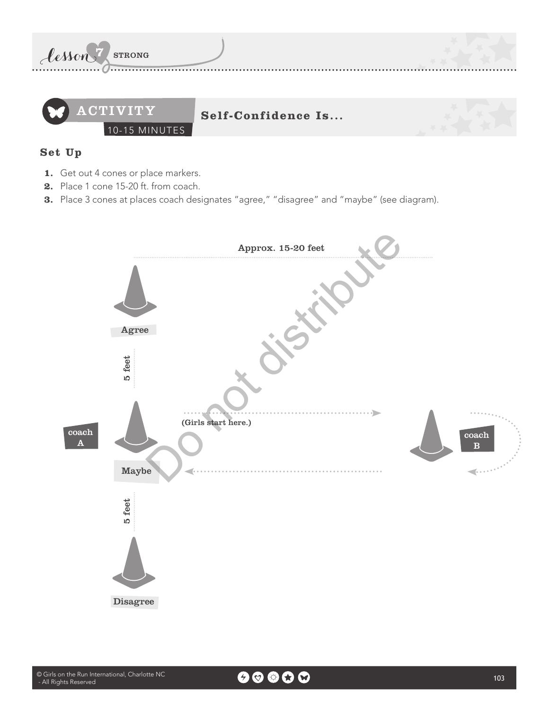

### **Set Up**

- **1.** Get out 4 cones or place markers.
- **2.** Place 1 cone 15-20 ft. from coach.
- **3.** Place 3 cones at places coach designates "agree," "disagree" and "maybe" (see diagram).

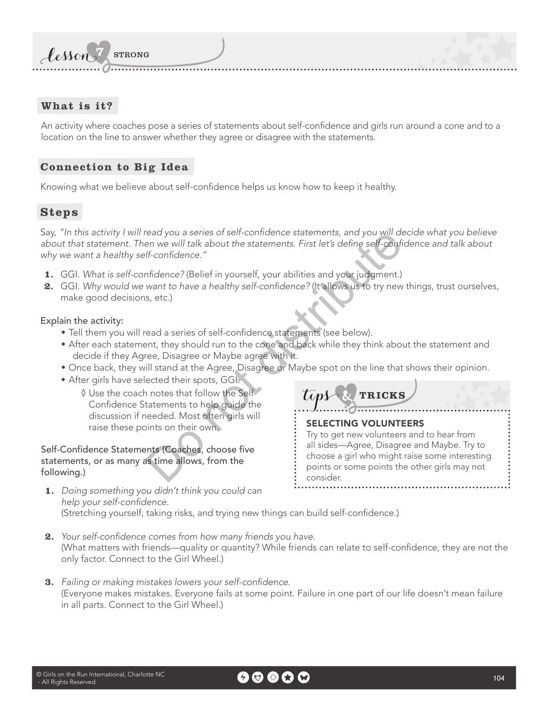

### **What is it?**

An activity where coaches pose a series of statements about self-confdence and girls run around a cone and to a location on the line to answer whether they agree or disagree with the statements.

### **Connection to Big Idea**

Knowing what we believe about self-confdence helps us know how to keep it healthy.

### **Steps**

Say, "In this activity I will read you a series of self-confidence statements, and you will decide what you believe about that statement. Then we will talk about the statements. First let's define self-confidence and talk about why we want a healthy self-confidence." ead you a series of self-confidence statements, and you will define the statements of the statements. First let's define self-confidence."<br>
If-confidence."<br>
And the statement of the statement of the statement of the statem

- **1.** GGI. What is self-confidence? (Belief in yourself, your abilities and your judgment.)
- **2.** GGI. Why would we want to have a healthy self-confidence? (It allows us to try new things, trust ourselves, make good decisions, etc.)

Explain the activity:

- Tell them you will read a series of self-confidence statements (see below).
- \* After each statement, they should run to the cone and back while they think about the statement and decide if they Agree, Disagree or Maybe agree with it.
- Once back, they will stand at the Agree, Disagree or Maybe spot on the line that shows their opinion.

**TRICKS**

Try to get new volunteers and to hear from all sides—Agree, Disagree and Maybe. Try to choose a girl who might raise some interesting points or some points the other girls may not

SELECTING VOLUNTEERS

consider.

- \* After girls have selected their spots, GGI.
	- Ų Use the coach notes that follow the Self- Confidence Statements to help quide the discussion if needed. Most often girls will raise these points on their own.

Self-Confidence Statements (Coaches, choose five statements, or as many as time allows, from the following.)

- **1.** Doing something you didn't think you could can help your self-confidence. (Stretching yourself, taking risks, and trying new things can build self-confdence.)
- **2.** Your self-confidence comes from how many friends you have. (What matters with friends—quality or quantity? While friends can relate to self-confidence, they are not the only factor. Connect to the Girl Wheel.)
- **3.** Failing or making mistakes lowers your self-confidence. (Everyone makes mistakes. Everyone fails at some point. Failure in one part of our life doesn't mean failure in all parts. Connect to the Girl Wheel.)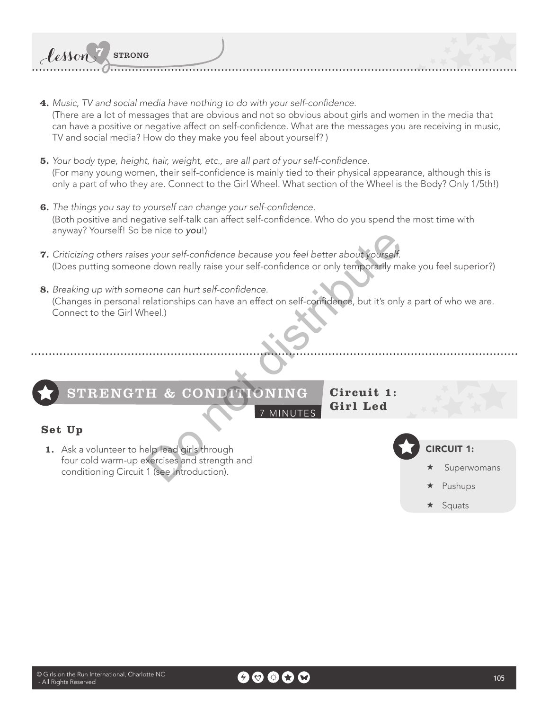- **4.** Music, TV and social media have nothing to do with your self-confidence. (There are a lot of messages that are obvious and not so obvious about girls and women in the media that can have a positive or negative affect on self-confdence. What are the messages you are receiving in music, TV and social media? How do they make you feel about yourself? )
- **5.** Your body type, height, hair, weight, etc., are all part of your self-confidence. (For many young women, their self-confdence is mainly tied to their physical appearance, although this is only a part of who they are. Connect to the Girl Wheel. What section of the Wheel is the Body? Only 1/5th!)
- **6.** The things you say to yourself can change your self-confidence. (Both positive and negative self-talk can affect self-confdence. Who do you spend the most time with anyway? Yourself! So be nice to you!)
- **7.** Criticizing others raises your self-confidence because you feel better about yourself. (Does putting someone down really raise your self-confdence or only temporarily make you feel superior?)
- 8. Breaking up with someone can hurt self-confidence. (Changes in personal relationships can have an effect on self-confidence, but it's only a part of who we are. Connect to the Girl Wheel.)



Lesson 7 STRONG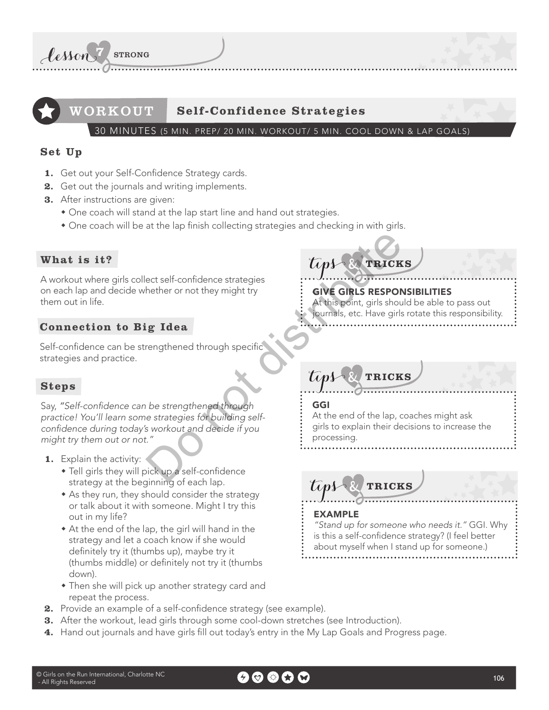

## WORKOUT **Self-Confidence Strategies**

30 MINUTES (5 MIN. PREP/ 20 MIN. WORKOUT/ 5 MIN. COOL DOWN & LAP GOALS)

### **Set Up**

- 1. Get out your Self-Confidence Strategy cards.
- **2.** Get out the journals and writing implements.
- **3.** After instructions are given:
	- One coach will stand at the lap start line and hand out strategies.
	- $\bullet$  One coach will be at the lap finish collecting strategies and checking in with girls.

### **What is it?**

A workout where girls collect self-confidence strategies on each lap and decide whether or not they might try them out in life.

### **Connection to Big Idea**

Self-confidence can be strengthened through specific strategies and practice.

### **Steps**

Say, "Self-confidence can be strengthened through practice! You'll learn some strategies for building selfconfidence during today's workout and decide if you might try them out or not." Examples the therm of they might try and the point of the state of the state of the state of the state of the state of the state of the state of the state of the state of the state of the state of the state of the state of

- **1.** Explain the activity:
	- Tell girls they will pick up a self-confidence strategy at the beginning of each lap.
	- $*$  As they run, they should consider the strategy or talk about it with someone. Might I try this out in my life?
	- $\bullet$  At the end of the lap, the girl will hand in the strategy and let a coach know if she would definitely try it (thumbs up), maybe try it (thumbs middle) or defnitely not try it (thumbs down).
	- Then she will pick up another strategy card and repeat the process.
- 2. Provide an example of a self-confidence strategy (see example).
- **3.** After the workout, lead girls through some cool-down stretches (see Introduction).
- **4.** Hand out journals and have girls fll out today's entry in the My Lap Goals and Progress page.

# **TRICKS**

### GIVE GIRLS RESPONSIBILITIES

At this point, girls should be able to pass out journals, etc. Have girls rotate this responsibility.

# **TRICKS**

### GGI

At the end of the lap, coaches might ask girls to explain their decisions to increase the processing.

**TRICKS**

### EXAMPLE

"Stand up for someone who needs it." GGI. Why is this a self-confidence strategy? (I feel better about myself when I stand up for someone.)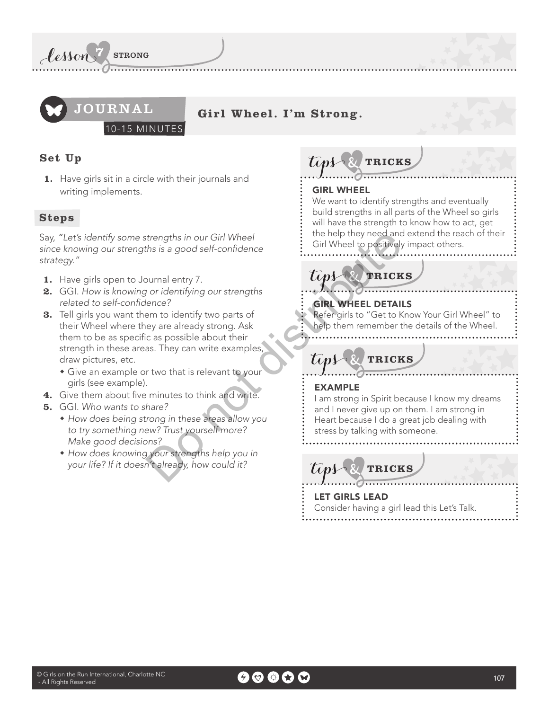



**Girl Wheel. I'm Strong.**

10-15 MINUTES

### **Set Up**

**1.** Have girls sit in a circle with their journals and writing implements.

### **Steps**

Say, "Let's identify some strengths in our Girl Wheel since knowing our strengths is a good self-confidence strategy."

- **1.** Have girls open to Journal entry 7.
- **2.** GGI. How is knowing or identifying our strengths related to self-confidence?
- **3.** Tell girls you want them to identify two parts of their Wheel where they are already strong. Ask them to be as specific as possible about their strength in these areas. They can write examples draw pictures, etc. EXAMPLE<br>
Sirl Wheel to positively<br>
behelp they need and<br>
behelp they need and<br>
behelp they need and<br>
sirl Wheel to positively<br>
behelp they need and<br>
consider to identify two parts of<br>
elecc?<br>
and hever girls to "Get to K<br>
	- Give an example or two that is relevant to your girls (see example).
- **4.** Give them about five minutes to think and write.
- **5.** GGI. Who wants to share?
	- How does being strong in these areas allow you to try something new? Trust yourself more? Make good decisions?
	- How does knowing your strengths help you in your life? If it doesn't already, how could it?

**TRICKS Tips** 

### GIRL WHEEL

We want to identify strengths and eventually build strengths in all parts of the Wheel so girls will have the strength to know how to act, get the help they need and extend the reach of their Girl Wheel to positively impact others.

# **TRICKS**

# GIRL WHEEL DETAILS

Refer girls to "Get to Know Your Girl Wheel" to help them remember the details of the Wheel.

**TRICKS**

### EXAMPLE

I am strong in Spirit because I know my dreams and I never give up on them. I am strong in Heart because I do a great job dealing with stress by talking with someone.

**TRICKS**

LET GIRLS LEAD Consider having a girl lead this Let's Talk.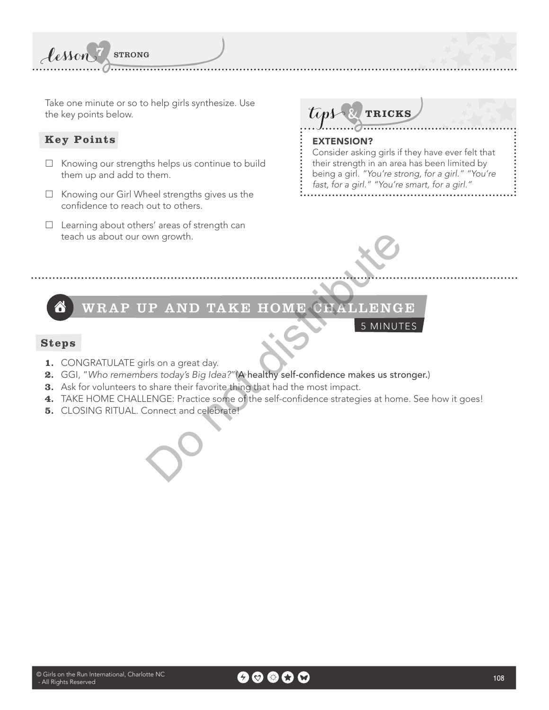Take one minute or so to help girls synthesize. Use the key points below.

**7** STRONG

### **Key Points**

lesson

- $\Box$  Knowing our strengths helps us continue to build them up and add to them.
- $\Box$  Knowing our Girl Wheel strengths gives us the confidence to reach out to others.
- $\Box$  Learning about others' areas of strength can teach us about our own growth.



### EXTENSION?

Consider asking girls if they have ever felt that their strength in an area has been limited by being a girl. "You're strong, for a girl." "You're fast, for a girl." "You're smart, for a girl."



# With growth.<br>
The AND TAKE HOME CEALLENG<br>
Is on a great day.<br>
Fis on a great day.<br>
Fis on a great day.<br>
Fis today's Big Idea?"(A healthy self-confidence makes us strong share their favorite thing that had the most impact.<br> WRAP UP AND TAKE HOME CHALLENGE Â

5 MINUTES

### **Steps**

- **1.** CONGRATULATE girls on a great day.
- 2. GGI, "Who remembers today's Big Idea?"(A healthy self-confidence makes us stronger.)
- **3.** Ask for volunteers to share their favorite thing that had the most impact.
- 4. TAKE HOME CHALLENGE: Practice some of the self-confidence strategies at home. See how it goes!
- **5.** CLOSING RITUAL. Connect and celebrate!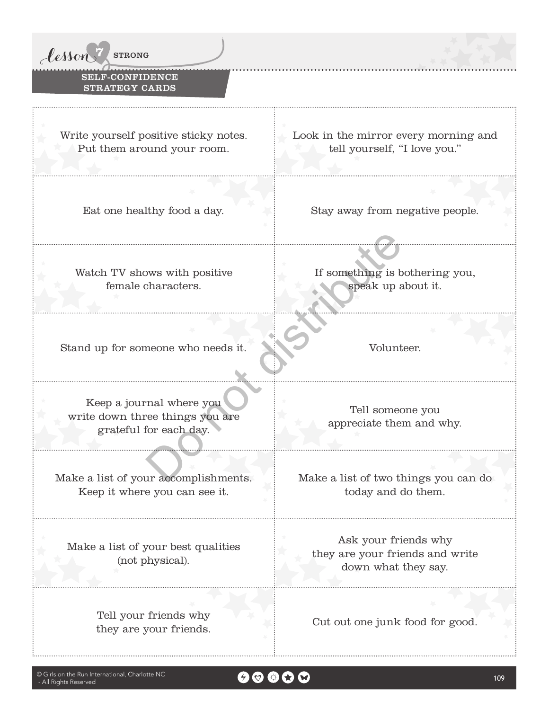

### SELF-CONFIDENCE STRATEGY CARDS

Write yourself positive sticky notes. Put them around your room.

Look in the mirror every morning and tell yourself, "I love you."

Eat one healthy food a day. Stay away from negative people.

Watch TV shows with positive female characters.

If something is bothering you, speak up about it.

Stand up for someone who needs it. Volunteer.

Keep a journal where you write down three things you are grateful for each day. France Speak up a<br>
meone who needs it.<br>
The speak up a<br>
meone who needs it.<br>
The speak up a<br>
volunt<br>
Tell some<br>
Tell some<br>
Tell some<br>
Tell some<br>
Tell some<br>
Tell some<br>
appreciate the<br>
appreciate the<br>
appreciate the<br>
Tell so

Make a list of your accomplishments. Keep it where you can see it.

Make a list of your best qualities (not physical).

> Tell your friends why they are your friends.<br>
> They are your friends.

Tell someone you appreciate them and why.

Make a list of two things you can do today and do them.

Ask your friends why they are your friends and write down what they say.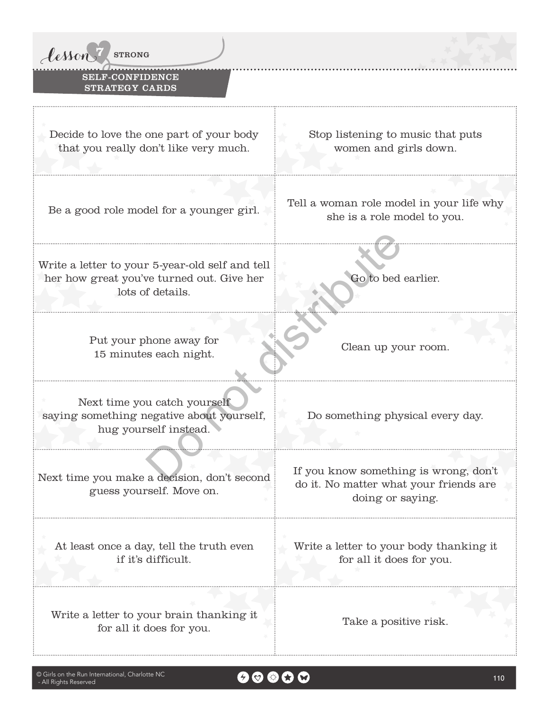

### SELF-CONFIDENCE STRATEGY CARDS

Decide to love the one part of your body that you really don't like very much.

Stop listening to music that puts women and girls down.

Write a letter to your 5-year-old self and tell her how great you've turned out. Give her lots of details. For 5-year-old self and tell<br>
ve turned out. Give her<br>
f details.<br>
hone away for<br>
thone away for<br>
thone away for<br>
u catch yourself<br>
u catch yourself<br>
egative about yourself,<br>
Do something phy<br>
a decision, don't second<br>
Dis

Put your phone away for 15 minutes each night. Clean up your room.

Next time you catch yourself saying something negative about yourself, hug yourself instead.

Next time you make a decision, don't second guess yourself. Move on.

At least once a day, tell the truth even if it's difficult.

Write a letter to your brain thanking it for all it does for you. Take a positive risk.

Be a good role model for a younger girl. Tell a woman role model in your life why she is a role model to you.

Go to bed earlier.

Do something physical every day.

If you know something is wrong, don't do it. No matter what your friends are doing or saying.

Write a letter to your body thanking it for all it does for you.